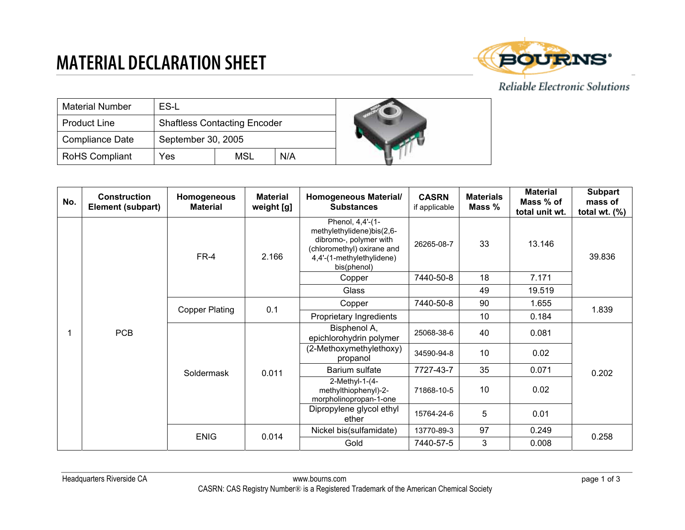## **MATERIAL DECLARATION SHEET**



### Reliable Electronic Solutions

| <b>Material Number</b> | ES-L                                |     |     |  |
|------------------------|-------------------------------------|-----|-----|--|
| <b>Product Line</b>    | <b>Shaftless Contacting Encoder</b> |     |     |  |
| <b>Compliance Date</b> | September 30, 2005                  |     |     |  |
| <b>RoHS Compliant</b>  | Yes                                 | MSL | N/A |  |

| No. | <b>Construction</b><br>Element (subpart) | Homogeneous<br><b>Material</b> | <b>Material</b><br>weight [g] | Homogeneous Material/<br><b>Substances</b>                                                                                                        | <b>CASRN</b><br>if applicable | <b>Materials</b><br>Mass % | <b>Material</b><br>Mass % of<br>total unit wt. | <b>Subpart</b><br>mass of<br>total wt. $(\%)$ |
|-----|------------------------------------------|--------------------------------|-------------------------------|---------------------------------------------------------------------------------------------------------------------------------------------------|-------------------------------|----------------------------|------------------------------------------------|-----------------------------------------------|
|     | <b>PCB</b>                               | $FR-4$                         | 2.166                         | Phenol, 4,4'-(1-<br>methylethylidene)bis(2,6-<br>dibromo-, polymer with<br>(chloromethyl) oxirane and<br>4,4'-(1-methylethylidene)<br>bis(phenol) | 26265-08-7                    | 33                         | 13.146                                         | 39.836                                        |
|     |                                          |                                |                               | Copper                                                                                                                                            | 7440-50-8                     | 18                         | 7.171                                          |                                               |
|     |                                          |                                |                               | Glass                                                                                                                                             |                               | 49                         | 19.519                                         |                                               |
|     |                                          | <b>Copper Plating</b>          | 0.1                           | Copper                                                                                                                                            | 7440-50-8                     | 90                         | 1.655                                          | 1.839                                         |
|     |                                          |                                |                               | Proprietary Ingredients                                                                                                                           |                               | 10                         | 0.184                                          |                                               |
|     |                                          | Soldermask                     | 0.011                         | Bisphenol A,<br>epichlorohydrin polymer                                                                                                           | 25068-38-6                    | 40                         | 0.081                                          | 0.202                                         |
|     |                                          |                                |                               | (2-Methoxymethylethoxy)<br>propanol                                                                                                               | 34590-94-8                    | 10                         | 0.02                                           |                                               |
|     |                                          |                                |                               | Barium sulfate                                                                                                                                    | 7727-43-7                     | 35                         | 0.071                                          |                                               |
|     |                                          |                                |                               | $2-Methyl-1-(4-$<br>methylthiophenyl)-2-<br>morpholinopropan-1-one                                                                                | 71868-10-5                    | 10                         | 0.02                                           |                                               |
|     |                                          |                                |                               | Dipropylene glycol ethyl<br>ether                                                                                                                 | 15764-24-6                    | 5                          | 0.01                                           |                                               |
|     |                                          | <b>ENIG</b>                    | 0.014                         | Nickel bis(sulfamidate)                                                                                                                           | 13770-89-3                    | 97                         | 0.249                                          | 0.258                                         |
|     |                                          |                                |                               | Gold                                                                                                                                              | 7440-57-5                     | 3                          | 0.008                                          |                                               |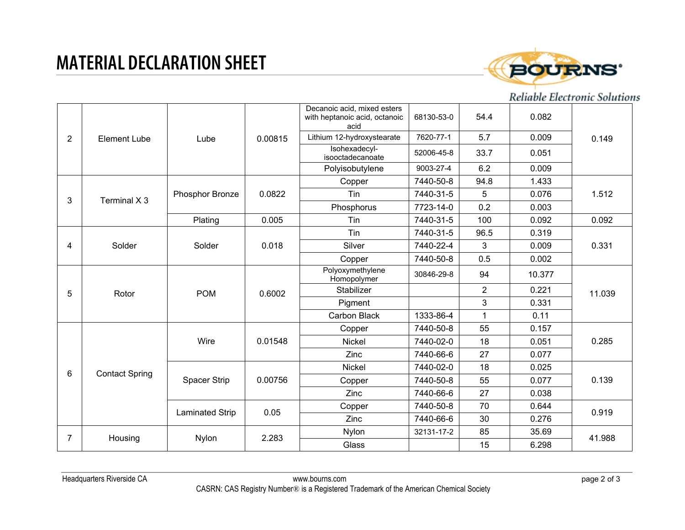# **MATERIAL DECLARATION SHEET**



#### Reliable Electronic Solutions

| $\overline{2}$ | <b>Element Lube</b>   | Lube                   | 0.00815 | Decanoic acid, mixed esters<br>with heptanoic acid, octanoic<br>acid | 68130-53-0 | 54.4           | 0.082  | 0.149  |
|----------------|-----------------------|------------------------|---------|----------------------------------------------------------------------|------------|----------------|--------|--------|
|                |                       |                        |         | Lithium 12-hydroxystearate                                           | 7620-77-1  | 5.7            | 0.009  |        |
|                |                       |                        |         | Isohexadecyl-<br>isooctadecanoate                                    | 52006-45-8 | 33.7           | 0.051  |        |
|                |                       |                        |         | Polyisobutylene                                                      | 9003-27-4  | 6.2            | 0.009  |        |
|                |                       | Phosphor Bronze        | 0.0822  | Copper                                                               | 7440-50-8  | 94.8           | 1.433  | 1.512  |
| 3              | Terminal X 3          |                        |         | Tin                                                                  | 7440-31-5  | 5              | 0.076  |        |
|                |                       |                        |         | Phosphorus                                                           | 7723-14-0  | 0.2            | 0.003  |        |
|                |                       | Plating                | 0.005   | Tin                                                                  | 7440-31-5  | 100            | 0.092  | 0.092  |
|                |                       | Solder                 | 0.018   | Tin                                                                  | 7440-31-5  | 96.5           | 0.319  | 0.331  |
| 4              | Solder                |                        |         | Silver                                                               | 7440-22-4  | 3              | 0.009  |        |
|                |                       |                        |         | Copper                                                               | 7440-50-8  | 0.5            | 0.002  |        |
|                | Rotor                 | <b>POM</b>             | 0.6002  | Polyoxymethylene<br>Homopolymer                                      | 30846-29-8 | 94             | 10.377 | 11.039 |
| 5              |                       |                        |         | Stabilizer                                                           |            | $\overline{2}$ | 0.221  |        |
|                |                       |                        |         | Pigment                                                              |            | 3              | 0.331  |        |
|                |                       |                        |         | Carbon Black                                                         | 1333-86-4  | $\mathbf 1$    | 0.11   |        |
|                | <b>Contact Spring</b> | Wire                   | 0.01548 | Copper                                                               | 7440-50-8  | 55             | 0.157  | 0.285  |
|                |                       |                        |         | Nickel                                                               | 7440-02-0  | 18             | 0.051  |        |
|                |                       |                        |         | Zinc                                                                 | 7440-66-6  | 27             | 0.077  |        |
| 6              |                       | <b>Spacer Strip</b>    | 0.00756 | Nickel                                                               | 7440-02-0  | 18             | 0.025  | 0.139  |
|                |                       |                        |         | Copper                                                               | 7440-50-8  | 55             | 0.077  |        |
|                |                       |                        |         | Zinc                                                                 | 7440-66-6  | 27             | 0.038  |        |
|                |                       | <b>Laminated Strip</b> | 0.05    | Copper                                                               | 7440-50-8  | 70             | 0.644  | 0.919  |
|                |                       |                        |         | Zinc                                                                 | 7440-66-6  | 30             | 0.276  |        |
| $\overline{7}$ | Housing               | Nylon                  | 2.283   | Nylon                                                                | 32131-17-2 | 85             | 35.69  | 41.988 |
|                |                       |                        |         | Glass                                                                |            | 15             | 6.298  |        |